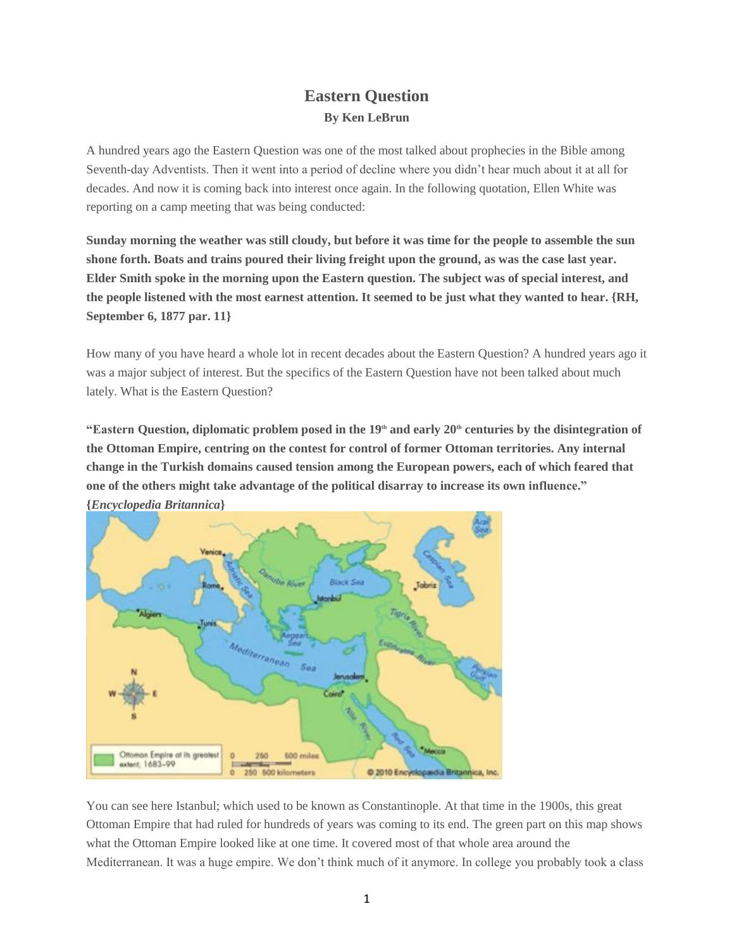## **Eastern Question By Ken LeBrun**

A hundred years ago the Eastern Question was one of the most talked about prophecies in the Bible among Seventh-day Adventists. Then it went into a period of decline where you didn't hear much about it at all for decades. And now it is coming back into interest once again. In the following quotation, Ellen White was reporting on a camp meeting that was being conducted:

Sunday morning the weather was still cloudy, but before it was time for the people to assemble the sun shone forth. Boats and trains poured their living freight upon the ground, as was the case last year. **Elder Smith spoke in the morning upon the Eastern question. The subject was of special interest, and** the people listened with the most earnest attention. It seemed to be just what they wanted to hear. {RH, **September 6, 1877 par. 11}**

How many of you have heard a whole lot in recent decades about the Eastern Question? A hundred years ago it was a major subject of interest. But the specifics of the Eastern Question have not been talked about much lately. What is the Eastern Question?

"Eastern Question, diplomatic problem posed in the 19<sup>th</sup> and early 20<sup>th</sup> centuries by the disintegration of **the Ottoman Empire, centring on the contest for control of former Ottoman territories. Any internal change in the Turkish domains caused tension among the European powers, each of which feared that one of the others might take advantage of the political disarray to increase its own influence." {***Encyclopedia Britannica***}**



You can see here Istanbul; which used to be known as Constantinople. At that time in the 1900s, this great Ottoman Empire that had ruled for hundreds of years was coming to its end. The green part on this map shows what the Ottoman Empire looked like at one time. It covered most of that whole area around the Mediterranean. It was a huge empire. We don't think much of it anymore. In college you probably took a class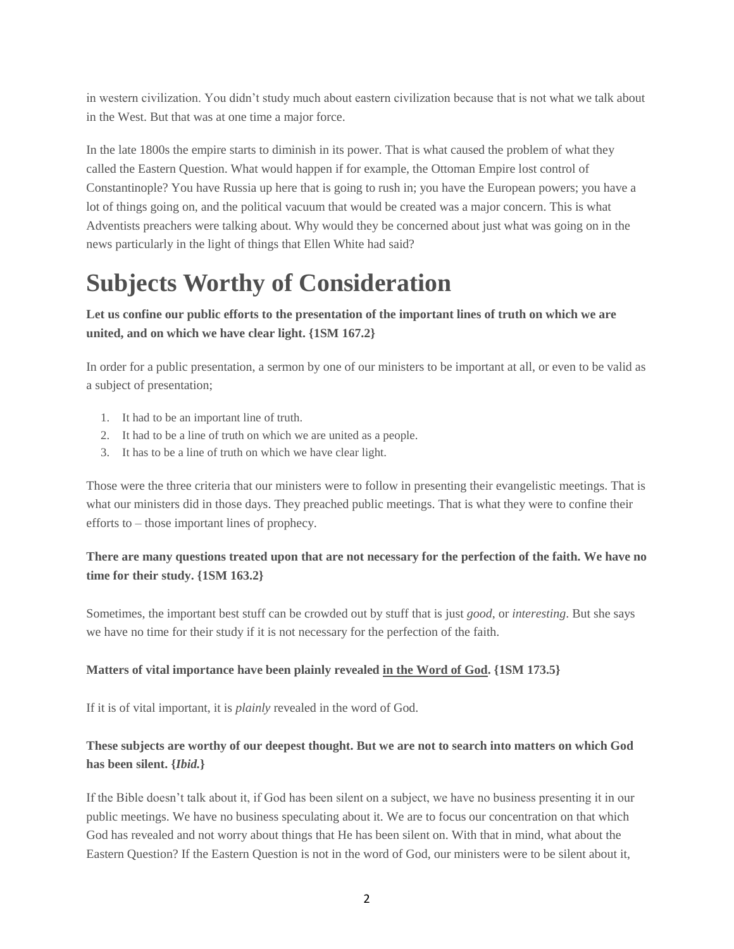in western civilization. You didn't study much about eastern civilization because that is not what we talk about in the West. But that was at one time a major force.

In the late 1800s the empire starts to diminish in its power. That is what caused the problem of what they called the Eastern Question. What would happen if for example, the Ottoman Empire lost control of Constantinople? You have Russia up here that is going to rush in; you have the European powers; you have a lot of things going on, and the political vacuum that would be created was a major concern. This is what Adventists preachers were talking about. Why would they be concerned about just what was going on in the news particularly in the light of things that Ellen White had said?

## **Subjects Worthy of Consideration**

Let us confine our public efforts to the presentation of the important lines of truth on which we are **united, and on which we have clear light. {1SM 167.2}**

In order for a public presentation, a sermon by one of our ministers to be important at all, or even to be valid as a subject of presentation;

- 1. It had to be an important line of truth.
- 2. It had to be a line of truth on which we are united as a people.
- 3. It has to be a line of truth on which we have clear light.

Those were the three criteria that our ministers were to follow in presenting their evangelistic meetings. That is what our ministers did in those days. They preached public meetings. That is what they were to confine their efforts to – those important lines of prophecy.

### There are many questions treated upon that are not necessary for the perfection of the faith. We have no **time for their study. {1SM 163.2}**

Sometimes, the important best stuff can be crowded out by stuff that is just *good*, or *interesting*. But she says we have no time for their study if it is not necessary for the perfection of the faith.

#### **Matters of vital importance have been plainly revealed in the Word of God. {1SM 173.5}**

If it is of vital important, it is *plainly* revealed in the word of God.

### These subjects are worthy of our deepest thought. But we are not to search into matters on which God **has been silent. {***Ibid.***}**

If the Bible doesn't talk about it, if God has been silent on a subject, we have no business presenting it in our public meetings. We have no business speculating about it. We are to focus our concentration on that which God has revealed and not worry about things that He has been silent on. With that in mind, what about the Eastern Question? If the Eastern Question is not in the word of God, our ministers were to be silent about it,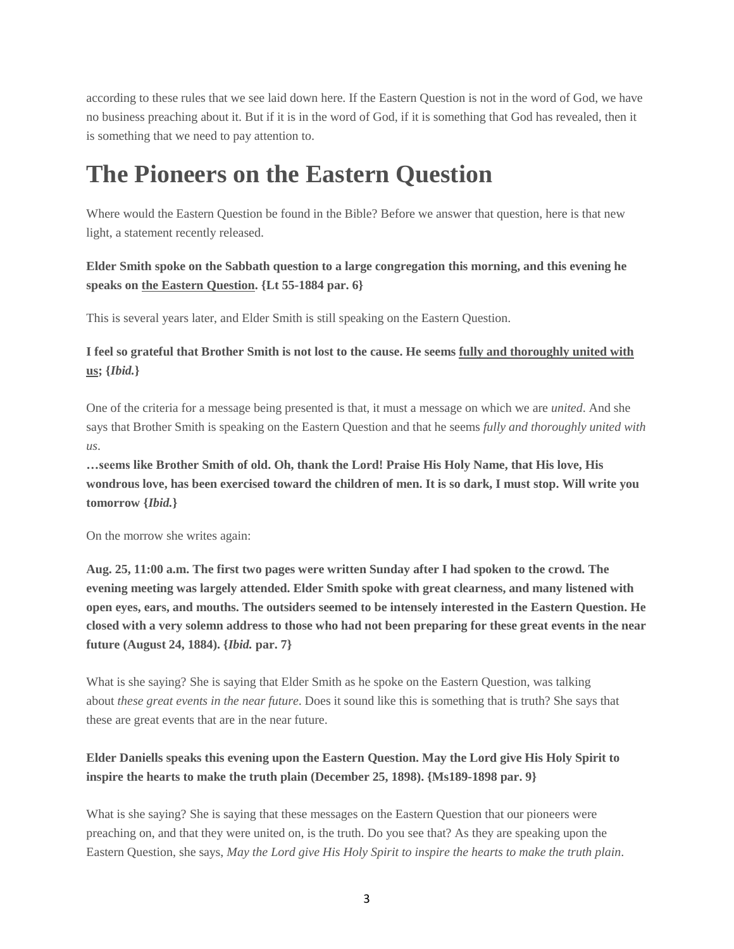according to these rules that we see laid down here. If the Eastern Question is not in the word of God, we have no business preaching about it. But if it is in the word of God, if it is something that God has revealed, then it is something that we need to pay attention to.

## **The Pioneers on the Eastern Question**

Where would the Eastern Question be found in the Bible? Before we answer that question, here is that new light, a statement recently released.

**Elder Smith spoke on the Sabbath question to a large congregation this morning, and this evening he speaks on the Eastern Question. {Lt 55-1884 par. 6}**

This is several years later, and Elder Smith is still speaking on the Eastern Question.

I feel so grateful that Brother Smith is not lost to the cause. He seems fully and thoroughly united with **us; {***Ibid.***}**

One of the criteria for a message being presented is that, it must a message on which we are *united*. And she says that Brother Smith is speaking on the Eastern Question and that he seems *fully and thoroughly united with us*.

**…seems like Brother Smith of old. Oh, thank the Lord! Praise His Holy Name, that His love, His** wondrous love, has been exercised toward the children of men. It is so dark, I must stop. Will write you **tomorrow {***Ibid.***}**

On the morrow she writes again:

Aug. 25, 11:00 a.m. The first two pages were written Sunday after I had spoken to the crowd. The **evening meeting was largely attended. Elder Smith spoke with great clearness, and many listened with open eyes, ears, and mouths. The outsiders seemed to be intensely interested in the Eastern Question. He** closed with a very solemn address to those who had not been preparing for these great events in the near **future (August 24, 1884). {***Ibid.* **par. 7}**

What is she saying? She is saying that Elder Smith as he spoke on the Eastern Question, was talking about *these great events in the near future*. Does it sound like this is something that is truth? She says that these are great events that are in the near future.

### **Elder Daniells speaks this evening upon the Eastern Question. May the Lord give His Holy Spirit to inspire the hearts to make the truth plain (December 25, 1898). {Ms189-1898 par. 9}**

What is she saying? She is saying that these messages on the Eastern Question that our pioneers were preaching on, and that they were united on, is the truth. Do you see that? As they are speaking upon the Eastern Question, she says, *May the Lord give His Holy Spirit to inspire the hearts to make the truth plain*.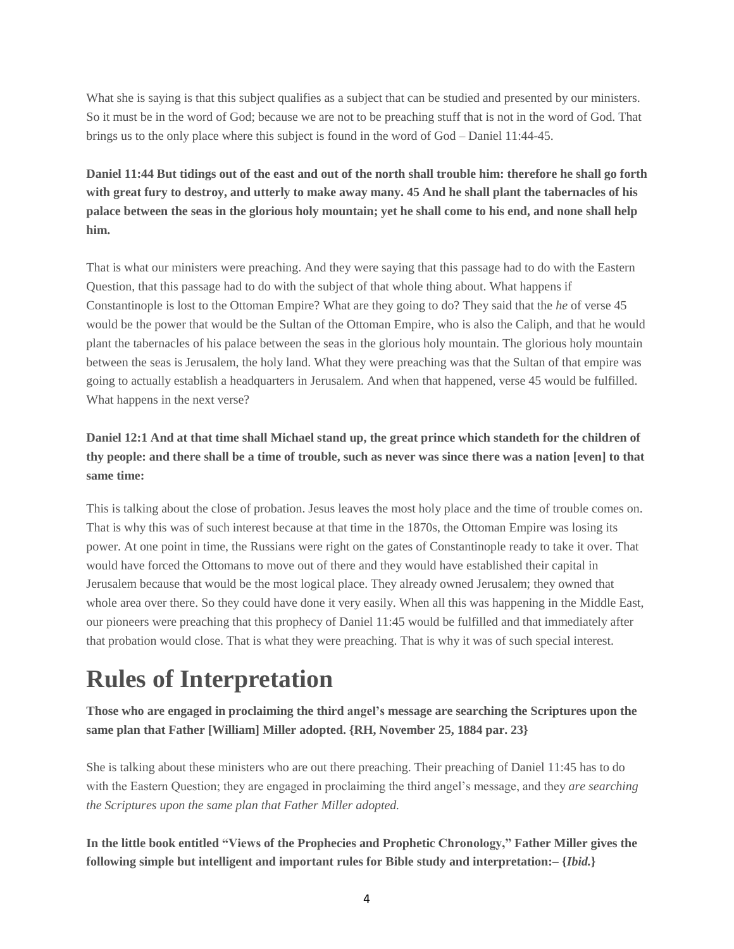What she is saying is that this subject qualifies as a subject that can be studied and presented by our ministers. So it must be in the word of God; because we are not to be preaching stuff that is not in the word of God. That brings us to the only place where this subject is found in the word of God – Daniel 11:44-45.

Daniel 11:44 But tidings out of the east and out of the north shall trouble him: therefore he shall go forth with great fury to destroy, and utterly to make away many. 45 And he shall plant the tabernacles of his palace between the seas in the glorious holy mountain; yet he shall come to his end, and none shall help **him.**

That is what our ministers were preaching. And they were saying that this passage had to do with the Eastern Question, that this passage had to do with the subject of that whole thing about. What happens if Constantinople is lost to the Ottoman Empire? What are they going to do? They said that the *he* of verse 45 would be the power that would be the Sultan of the Ottoman Empire, who is also the Caliph, and that he would plant the tabernacles of his palace between the seas in the glorious holy mountain. The glorious holy mountain between the seas is Jerusalem, the holy land. What they were preaching was that the Sultan of that empire was going to actually establish a headquarters in Jerusalem. And when that happened, verse 45 would be fulfilled. What happens in the next verse?

## Daniel 12:1 And at that time shall Michael stand up, the great prince which standeth for the children of thy people: and there shall be a time of trouble, such as never was since there was a nation [even] to that **same time:**

This is talking about the close of probation. Jesus leaves the most holy place and the time of trouble comes on. That is why this was of such interest because at that time in the 1870s, the Ottoman Empire was losing its power. At one point in time, the Russians were right on the gates of Constantinople ready to take it over. That would have forced the Ottomans to move out of there and they would have established their capital in Jerusalem because that would be the most logical place. They already owned Jerusalem; they owned that whole area over there. So they could have done it very easily. When all this was happening in the Middle East, our pioneers were preaching that this prophecy of Daniel 11:45 would be fulfilled and that immediately after that probation would close. That is what they were preaching. That is why it was of such special interest.

## **Rules of Interpretation**

**Those who are engaged in proclaiming the third angel's message are searching the Scriptures upon the same plan that Father [William] Miller adopted. {RH, November 25, 1884 par. 23}**

She is talking about these ministers who are out there preaching. Their preaching of Daniel 11:45 has to do with the Eastern Question; they are engaged in proclaiming the third angel's message, and they *are searching the Scriptures upon the same plan that Father Miller adopted.*

**In the little book entitled "Views of the Prophecies and Prophetic Chronology," Father Miller gives the following simple but intelligent and important rules for Bible study and interpretation:– {***Ibid.***}**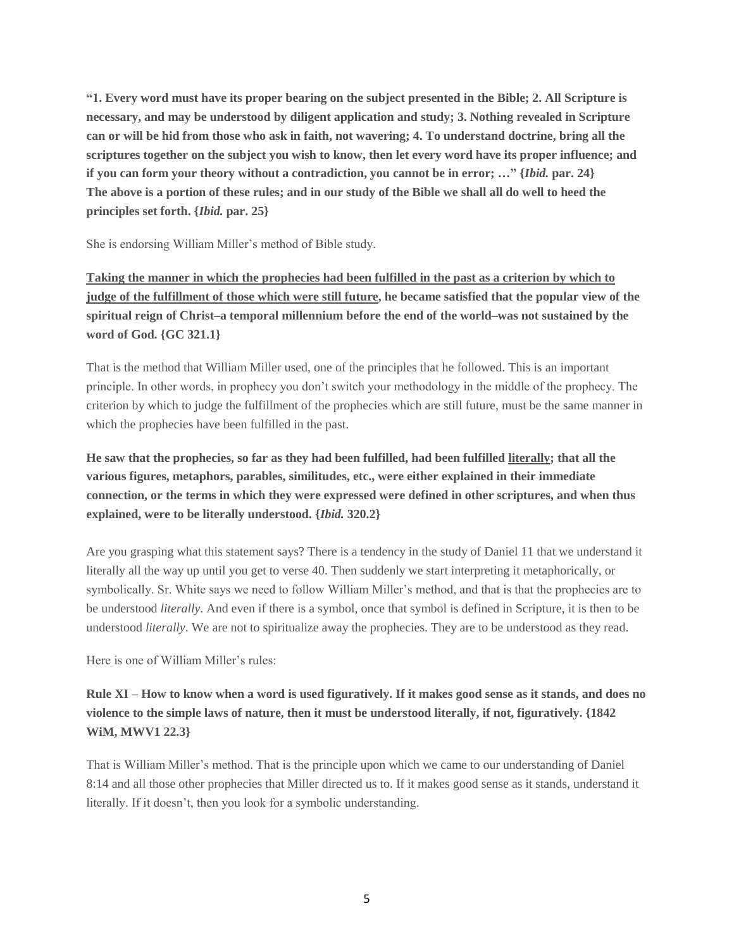"1. Every word must have its proper bearing on the subject presented in the Bible; 2. All Scripture is **necessary, and may be understood by diligent application and study; 3. Nothing revealed in Scripture** can or will be hid from those who ask in faith, not wavering; 4. To understand doctrine, bring all the scriptures together on the subject you wish to know, then let every word have its proper influence; and if you can form your theory without a contradiction, you cannot be in error; ..." {Ibid. par. 24} The above is a portion of these rules; and in our study of the Bible we shall all do well to heed the **principles set forth. {***Ibid.* **par. 25}**

She is endorsing William Miller's method of Bible study.

Taking the manner in which the prophecies had been fulfilled in the past as a criterion by which to judge of the fulfillment of those which were still future, he became satisfied that the popular view of the **spiritual reign of Christ–a temporal millennium before the end of the world–was not sustained by the word of God. {GC 321.1}**

That is the method that William Miller used, one of the principles that he followed. This is an important principle. In other words, in prophecy you don't switch your methodology in the middle of the prophecy. The criterion by which to judge the fulfillment of the prophecies which are still future, must be the same manner in which the prophecies have been fulfilled in the past.

He saw that the prophecies, so far as they had been fulfilled, had been fulfilled literally; that all the **various figures, metaphors, parables, similitudes, etc., were either explained in their immediate connection, or the terms in which they were expressed were defined in other scriptures, and when thus explained, were to be literally understood. {***Ibid.* **320.2}**

Are you grasping what this statement says? There is a tendency in the study of Daniel 11 that we understand it literally all the way up until you get to verse 40. Then suddenly we start interpreting it metaphorically, or symbolically. Sr. White says we need to follow William Miller's method, and that is that the prophecies are to be understood *literally*. And even if there is a symbol, once that symbol is defined in Scripture, it is then to be understood *literally*. We are not to spiritualize away the prophecies. They are to be understood as they read.

Here is one of William Miller's rules:

Rule XI – How to know when a word is used figuratively. If it makes good sense as it stands, and does no **violence to the simple laws of nature, then it must be understood literally, if not, figuratively. {1842 WiM, MWV1 22.3}**

That is William Miller's method. That is the principle upon which we came to our understanding of Daniel 8:14 and all those other prophecies that Miller directed us to. If it makes good sense as it stands, understand it literally. If it doesn't, then you look for a symbolic understanding.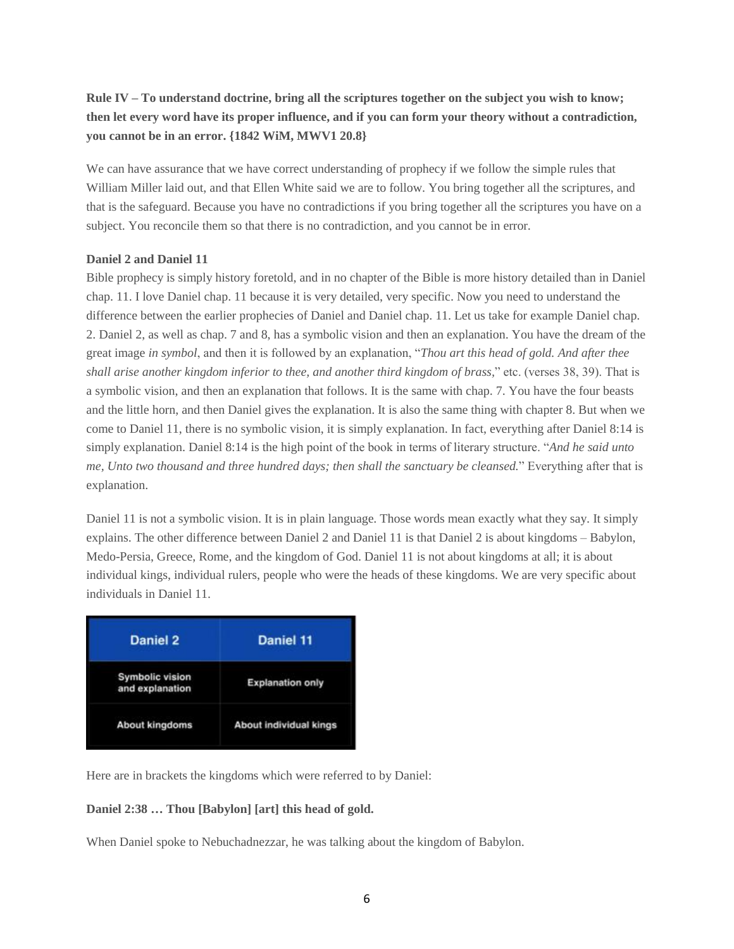## Rule IV – To understand doctrine, bring all the scriptures together on the subject you wish to know; then let every word have its proper influence, and if you can form your theory without a contradiction, **you cannot be in an error. {1842 WiM, MWV1 20.8}**

We can have assurance that we have correct understanding of prophecy if we follow the simple rules that William Miller laid out, and that Ellen White said we are to follow. You bring together all the scriptures, and that is the safeguard. Because you have no contradictions if you bring together all the scriptures you have on a subject. You reconcile them so that there is no contradiction, and you cannot be in error.

#### **Daniel 2 and Daniel 11**

Bible prophecy is simply history foretold, and in no chapter of the Bible is more history detailed than in Daniel chap. 11. I love Daniel chap. 11 because it is very detailed, very specific. Now you need to understand the difference between the earlier prophecies of Daniel and Daniel chap. 11. Let us take for example Daniel chap. 2. Daniel 2, as well as chap. 7 and 8, has a symbolic vision and then an explanation. You have the dream of the great image *in symbol*, and then it is followed by an explanation, "*Thou art this head of gold. And after thee shall arise another kingdom inferior to thee, and another third kingdom of brass,*" etc. (verses 38, 39). That is a symbolic vision, and then an explanation that follows. It is the same with chap. 7. You have the four beasts and the little horn, and then Daniel gives the explanation. It is also the same thing with chapter 8. But when we come to Daniel 11, there is no symbolic vision, it is simply explanation. In fact, everything after Daniel 8:14 is simply explanation. Daniel 8:14 is the high point of the book in terms of literary structure. "*And he said unto me, Unto two thousand and three hundred days; then shall the sanctuary be cleansed.*" Everything after that is explanation.

Daniel 11 is not a symbolic vision. It is in plain language. Those words mean exactly what they say. It simply explains. The other difference between Daniel 2 and Daniel 11 is that Daniel 2 is about kingdoms – Babylon, Medo-Persia, Greece, Rome, and the kingdom of God. Daniel 11 is not about kingdoms at all; it is about individual kings, individual rulers, people who were the heads of these kingdoms. We are very specific about individuals in Daniel 11.

| Daniel 2                                  | <b>Daniel 11</b>              |
|-------------------------------------------|-------------------------------|
| <b>Symbolic vision</b><br>and explanation | <b>Explanation only</b>       |
| <b>About kingdoms</b>                     | <b>About individual kings</b> |

Here are in brackets the kingdoms which were referred to by Daniel:

#### **Daniel 2:38 … Thou [Babylon] [art] this head of gold.**

When Daniel spoke to Nebuchadnezzar, he was talking about the kingdom of Babylon.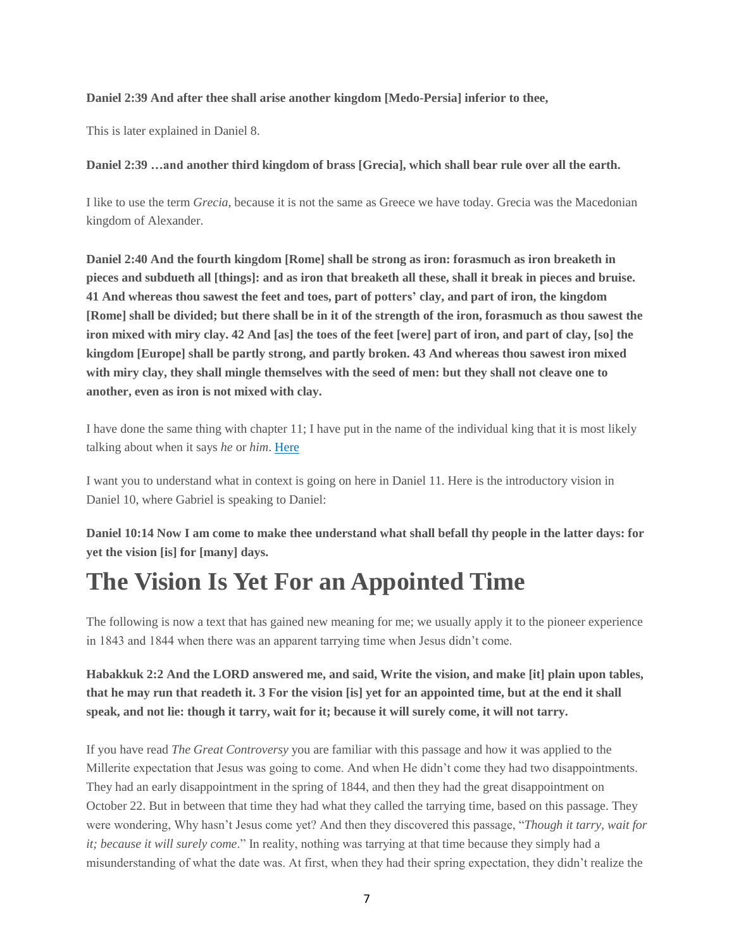#### **Daniel 2:39 And after thee shall arise another kingdom [Medo-Persia] inferior to thee,**

This is later explained in Daniel 8.

**Daniel 2:39 …and another third kingdom of brass [Grecia], which shall bear rule over all the earth.**

I like to use the term *Grecia*, because it is not the same as Greece we have today. Grecia was the Macedonian kingdom of Alexander.

**Daniel 2:40 And the fourth kingdom [Rome] shall be strong as iron: forasmuch as iron breaketh in** pieces and subdueth all [things]: and as iron that breaketh all these, shall it break in pieces and bruise. 41 And whereas thou sawest the feet and toes, part of potters' clay, and part of iron, the kingdom [Rome] shall be divided; but there shall be in it of the strength of the iron, forasmuch as thou sawest the iron mixed with miry clay. 42 And [as] the toes of the feet [were] part of iron, and part of clay, [so] the **kingdom [Europe] shall be partly strong, and partly broken. 43 And whereas thou sawest iron mixed** with miry clay, they shall mingle themselves with the seed of men: but they shall not cleave one to **another, even as iron is not mixed with clay.**

I have done the same thing with chapter 11; I have put in the name of the individual king that it is most likely talking about when it says *he* or *him*. [Here](http://klebrun.blogspot.fr/2014/03/the-kings-of-north-and-south.html)

I want you to understand what in context is going on here in Daniel 11. Here is the introductory vision in Daniel 10, where Gabriel is speaking to Daniel:

Daniel 10:14 Now I am come to make thee understand what shall befall thy people in the latter days: for **yet the vision [is] for [many] days.**

## **The Vision Is Yet For an Appointed Time**

The following is now a text that has gained new meaning for me; we usually apply it to the pioneer experience in 1843 and 1844 when there was an apparent tarrying time when Jesus didn't come.

Habakkuk 2:2 And the LORD answered me, and said, Write the vision, and make [it] plain upon tables, that he may run that readeth it. 3 For the vision [is] yet for an appointed time, but at the end it shall speak, and not lie: though it tarry, wait for it; because it will surely come, it will not tarry.

If you have read *The Great Controversy* you are familiar with this passage and how it was applied to the Millerite expectation that Jesus was going to come. And when He didn't come they had two disappointments. They had an early disappointment in the spring of 1844, and then they had the great disappointment on October 22. But in between that time they had what they called the tarrying time, based on this passage. They were wondering, Why hasn't Jesus come yet? And then they discovered this passage, "*Though it tarry, wait for it; because it will surely come*." In reality, nothing was tarrying at that time because they simply had a misunderstanding of what the date was. At first, when they had their spring expectation, they didn't realize the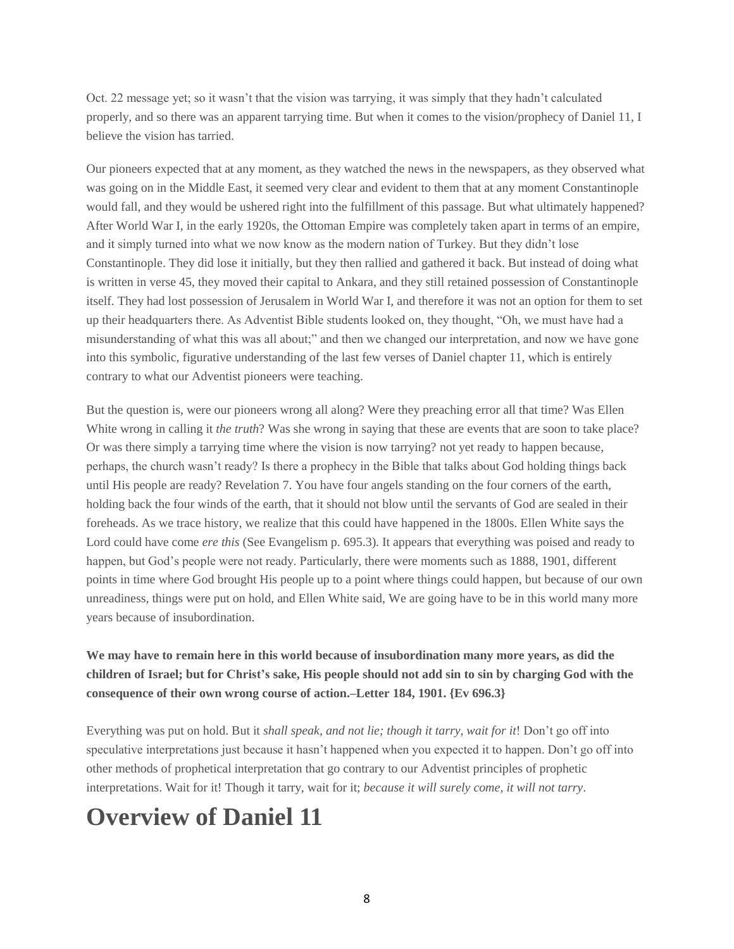Oct. 22 message yet; so it wasn't that the vision was tarrying, it was simply that they hadn't calculated properly, and so there was an apparent tarrying time. But when it comes to the vision/prophecy of Daniel 11, I believe the vision has tarried.

Our pioneers expected that at any moment, as they watched the news in the newspapers, as they observed what was going on in the Middle East, it seemed very clear and evident to them that at any moment Constantinople would fall, and they would be ushered right into the fulfillment of this passage. But what ultimately happened? After World War I, in the early 1920s, the Ottoman Empire was completely taken apart in terms of an empire, and it simply turned into what we now know as the modern nation of Turkey. But they didn't lose Constantinople. They did lose it initially, but they then rallied and gathered it back. But instead of doing what is written in verse 45, they moved their capital to Ankara, and they still retained possession of Constantinople itself. They had lost possession of Jerusalem in World War I, and therefore it was not an option for them to set up their headquarters there. As Adventist Bible students looked on, they thought, "Oh, we must have had a misunderstanding of what this was all about;" and then we changed our interpretation, and now we have gone into this symbolic, figurative understanding of the last few verses of Daniel chapter 11, which is entirely contrary to what our Adventist pioneers were teaching.

But the question is, were our pioneers wrong all along? Were they preaching error all that time? Was Ellen White wrong in calling it *the truth*? Was she wrong in saying that these are events that are soon to take place? Or was there simply a tarrying time where the vision is now tarrying? not yet ready to happen because, perhaps, the church wasn't ready? Is there a prophecy in the Bible that talks about God holding things back until His people are ready? Revelation 7. You have four angels standing on the four corners of the earth, holding back the four winds of the earth, that it should not blow until the servants of God are sealed in their foreheads. As we trace history, we realize that this could have happened in the 1800s. Ellen White says the Lord could have come *ere this* (See Evangelism p. 695.3). It appears that everything was poised and ready to happen, but God's people were not ready. Particularly, there were moments such as 1888, 1901, different points in time where God brought His people up to a point where things could happen, but because of our own unreadiness, things were put on hold, and Ellen White said, We are going have to be in this world many more years because of insubordination.

## **We may have to remain here in this world because of insubordination many more years, as did the** children of Israel; but for Christ's sake, His people should not add sin to sin by charging God with the **consequence of their own wrong course of action.–Letter 184, 1901. {Ev 696.3}**

Everything was put on hold. But it *shall speak, and not lie; though it tarry, wait for it*! Don't go off into speculative interpretations just because it hasn't happened when you expected it to happen. Don't go off into other methods of prophetical interpretation that go contrary to our Adventist principles of prophetic interpretations. Wait for it! Though it tarry, wait for it; *because it will surely come, it will not tarry*.

# **Overview of Daniel 11**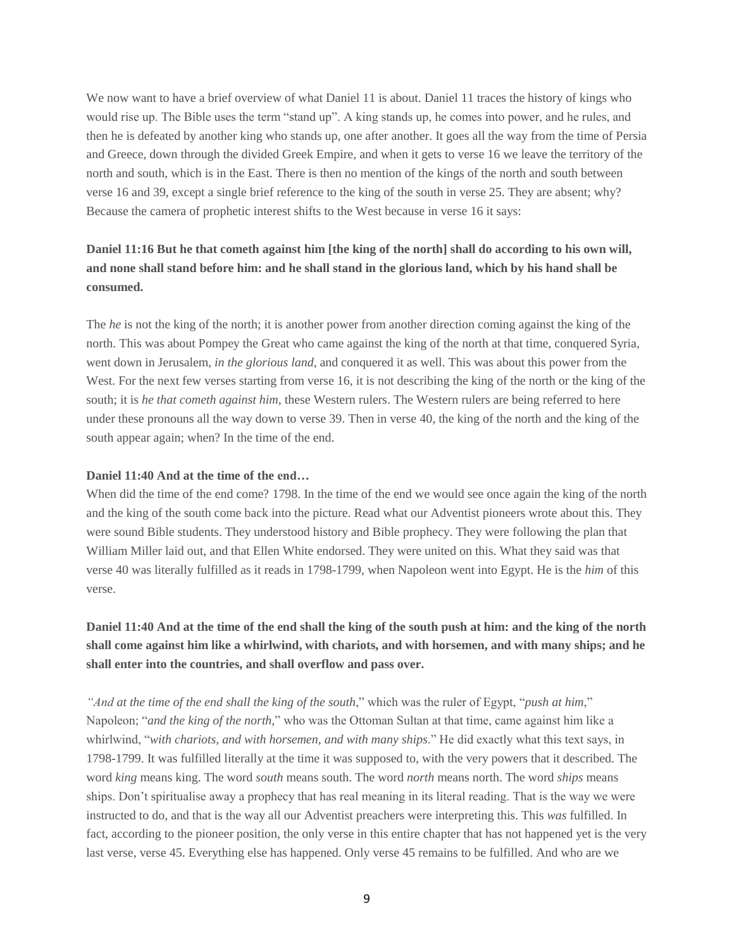We now want to have a brief overview of what Daniel 11 is about. Daniel 11 traces the history of kings who would rise up. The Bible uses the term "stand up". A king stands up, he comes into power, and he rules, and then he is defeated by another king who stands up, one after another. It goes all the way from the time of Persia and Greece, down through the divided Greek Empire, and when it gets to verse 16 we leave the territory of the north and south, which is in the East. There is then no mention of the kings of the north and south between verse 16 and 39, except a single brief reference to the king of the south in verse 25. They are absent; why? Because the camera of prophetic interest shifts to the West because in verse 16 it says:

## Daniel 11:16 But he that cometh against him [the king of the north] shall do according to his own will, and none shall stand before him: and he shall stand in the glorious land, which by his hand shall be **consumed.**

The *he* is not the king of the north; it is another power from another direction coming against the king of the north. This was about Pompey the Great who came against the king of the north at that time, conquered Syria, went down in Jerusalem, *in the glorious land*, and conquered it as well. This was about this power from the West. For the next few verses starting from verse 16, it is not describing the king of the north or the king of the south; it is *he that cometh against him*, these Western rulers. The Western rulers are being referred to here under these pronouns all the way down to verse 39. Then in verse 40, the king of the north and the king of the south appear again; when? In the time of the end.

#### **Daniel 11:40 And at the time of the end…**

When did the time of the end come? 1798. In the time of the end we would see once again the king of the north and the king of the south come back into the picture. Read what our Adventist pioneers wrote about this. They were sound Bible students. They understood history and Bible prophecy. They were following the plan that William Miller laid out, and that Ellen White endorsed. They were united on this. What they said was that verse 40 was literally fulfilled as it reads in 1798-1799, when Napoleon went into Egypt. He is the *him* of this verse.

## Daniel 11:40 And at the time of the end shall the king of the south push at him: and the king of the north shall come against him like a whirlwind, with chariots, and with horsemen, and with many ships; and he **shall enter into the countries, and shall overflow and pass over.**

*"And at the time of the end shall the king of the south*," which was the ruler of Egypt, "*push at him*," Napoleon; "*and the king of the north,*" who was the Ottoman Sultan at that time, came against him like a whirlwind, "*with chariots, and with horsemen, and with many ships*." He did exactly what this text says, in 1798-1799. It was fulfilled literally at the time it was supposed to, with the very powers that it described. The word *king* means king. The word *south* means south. The word *north* means north. The word *ships* means ships. Don't spiritualise away a prophecy that has real meaning in its literal reading. That is the way we were instructed to do, and that is the way all our Adventist preachers were interpreting this. This *was* fulfilled. In fact, according to the pioneer position, the only verse in this entire chapter that has not happened yet is the very last verse, verse 45. Everything else has happened. Only verse 45 remains to be fulfilled. And who are we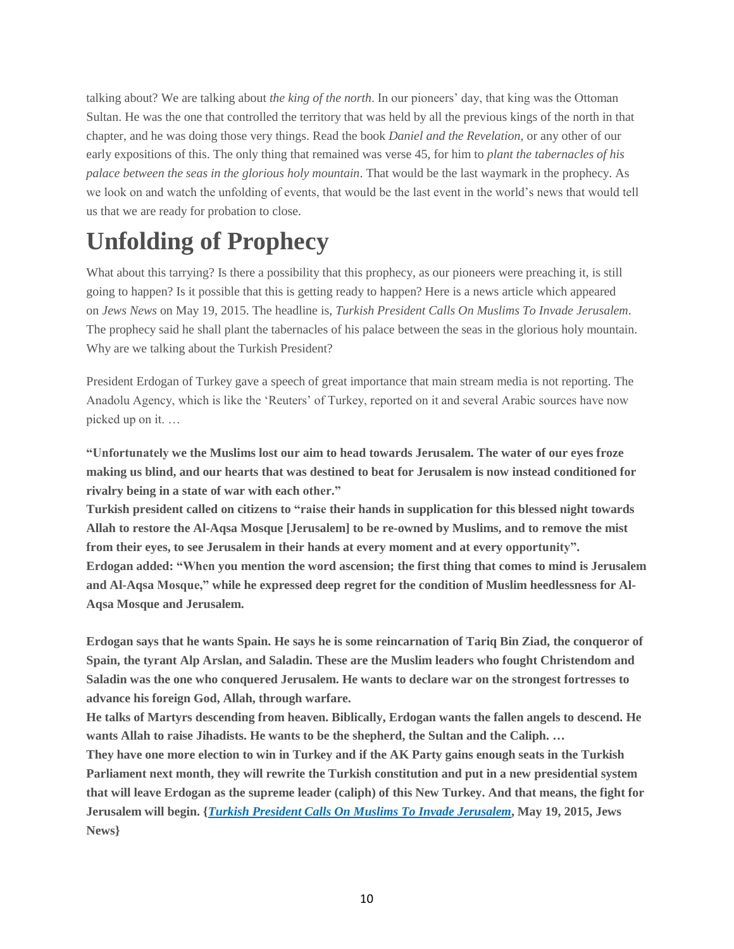talking about? We are talking about *the king of the north*. In our pioneers' day, that king was the Ottoman Sultan. He was the one that controlled the territory that was held by all the previous kings of the north in that chapter, and he was doing those very things. Read the book *Daniel and the Revelation*, or any other of our early expositions of this. The only thing that remained was verse 45, for him to *plant the tabernacles of his palace between the seas in the glorious holy mountain*. That would be the last waymark in the prophecy. As we look on and watch the unfolding of events, that would be the last event in the world's news that would tell us that we are ready for probation to close.

## **Unfolding of Prophecy**

What about this tarrying? Is there a possibility that this prophecy, as our pioneers were preaching it, is still going to happen? Is it possible that this is getting ready to happen? Here is a news article which appeared on *Jews News* on May 19, 2015. The headline is, *Turkish President Calls On Muslims To Invade Jerusalem*. The prophecy said he shall plant the tabernacles of his palace between the seas in the glorious holy mountain. Why are we talking about the Turkish President?

President Erdogan of Turkey gave a speech of great importance that main stream media is not reporting. The Anadolu Agency, which is like the 'Reuters' of Turkey, reported on it and several Arabic sources have now picked up on it. …

**"Unfortunately we the Muslims lost our aim to head towards Jerusalem. The water of our eyes froze** making us blind, and our hearts that was destined to beat for Jerusalem is now instead conditioned for **rivalry being in a state of war with each other."**

**Turkish president called on citizens to "raise their hands in supplication for this blessed night towards Allah to restore the Al-Aqsa Mosque [Jerusalem] to be re-owned by Muslims, and to remove the mist from their eyes, to see Jerusalem in their hands at every moment and at every opportunity". Erdogan added: "When you mention the word ascension; the first thing that comes to mind is Jerusalem and Al-Aqsa Mosque," while he expressed deep regret for the condition of Muslim heedlessness for Al-Aqsa Mosque and Jerusalem.**

Erdogan says that he wants Spain. He says he is some reincarnation of Tariq Bin Ziad, the conqueror of **Spain, the tyrant Alp Arslan, and Saladin. These are the Muslim leaders who fought Christendom and Saladin was the one who conquered Jerusalem. He wants to declare war on the strongest fortresses to advance his foreign God, Allah, through warfare.**

**He talks of Martyrs descending from heaven. Biblically, Erdogan wants the fallen angels to descend. He wants Allah to raise Jihadists. He wants to be the shepherd, the Sultan and the Caliph. …**

They have one more election to win in Turkey and if the AK Party gains enough seats in the Turkish **Parliament next month, they will rewrite the Turkish constitution and put in a new presidential system** that will leave Erdogan as the supreme leader (caliph) of this New Turkey. And that means, the fight for **Jerusalem will begin. {***Turkish President Calls On Muslims To Invade [Jerusalem](http://www.jewsnews.co.il/2015/05/27/turkish-president-calls-on-muslims-to-invade-jerusalem-2/)***, May 19, 2015, Jews News}**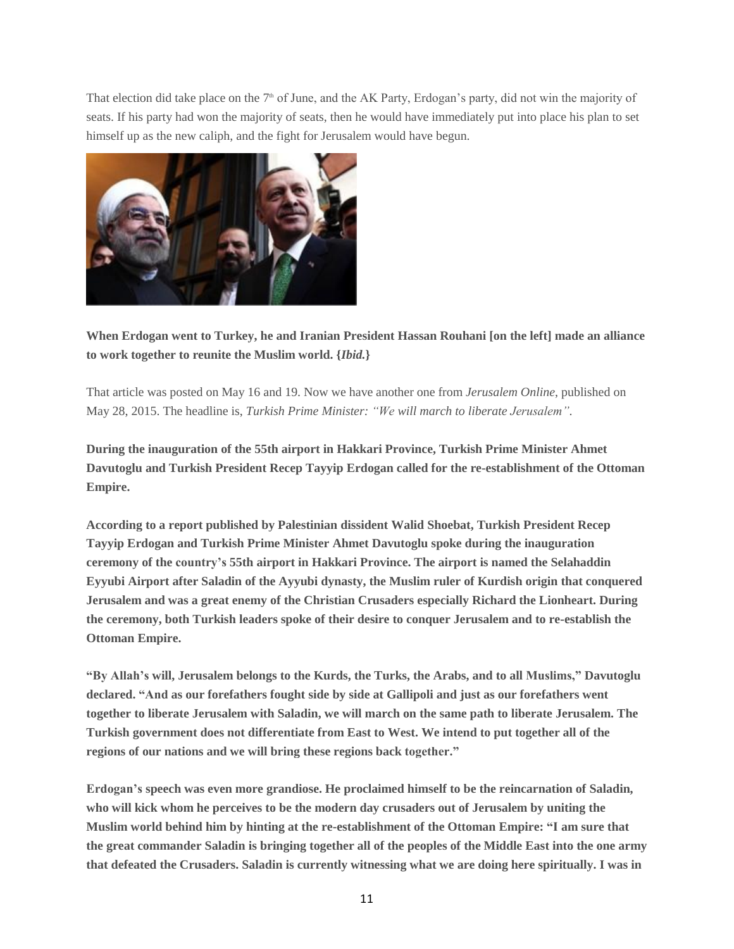That election did take place on the 7<sup>th</sup> of June, and the AK Party, Erdogan's party, did not win the majority of seats. If his party had won the majority of seats, then he would have immediately put into place his plan to set himself up as the new caliph, and the fight for Jerusalem would have begun.



**When Erdogan went to Turkey, he and Iranian President Hassan Rouhani [on the left] made an alliance to work together to reunite the Muslim world. {***Ibid.***}**

That article was posted on May 16 and 19. Now we have another one from *Jerusalem Online*, published on May 28, 2015. The headline is, *Turkish Prime Minister: "We will march to liberate Jerusalem"*.

**During the inauguration of the 55th airport in Hakkari Province, Turkish Prime Minister Ahmet Davutoglu and Turkish President Recep Tayyip Erdogan called for the re-establishment of the Ottoman Empire.**

**According to a report published by Palestinian dissident Walid Shoebat, Turkish President Recep Tayyip Erdogan and Turkish Prime Minister Ahmet Davutoglu spoke during the inauguration ceremony of the country's 55th airport in Hakkari Province. The airport is named the Selahaddin Eyyubi Airport after Saladin of the Ayyubi dynasty, the Muslim ruler of Kurdish origin that conquered Jerusalem and was a great enemy of the Christian Crusaders especially Richard the Lionheart. During the ceremony, both Turkish leaders spoke of their desire to conquer Jerusalem and to re-establish the Ottoman Empire.**

**"By Allah's will, Jerusalem belongs to the Kurds, the Turks, the Arabs, and to all Muslims," Davutoglu declared. "And as our forefathers fought side by side at Gallipoli and just as our forefathers went together to liberate Jerusalem with Saladin, we will march on the same path to liberate Jerusalem. The Turkish government does not differentiate from East to West. We intend to put together all of the regions of our nations and we will bring these regions back together."**

**Erdogan's speech was even more grandiose. He proclaimed himself to be the reincarnation of Saladin, who will kick whom he perceives to be the modern day crusaders out of Jerusalem by uniting the Muslim world behind him by hinting at the re-establishment of the Ottoman Empire: "I am sure that** the great commander Saladin is bringing together all of the peoples of the Middle East into the one army **that defeated the Crusaders. Saladin is currently witnessing what we are doing here spiritually. I was in**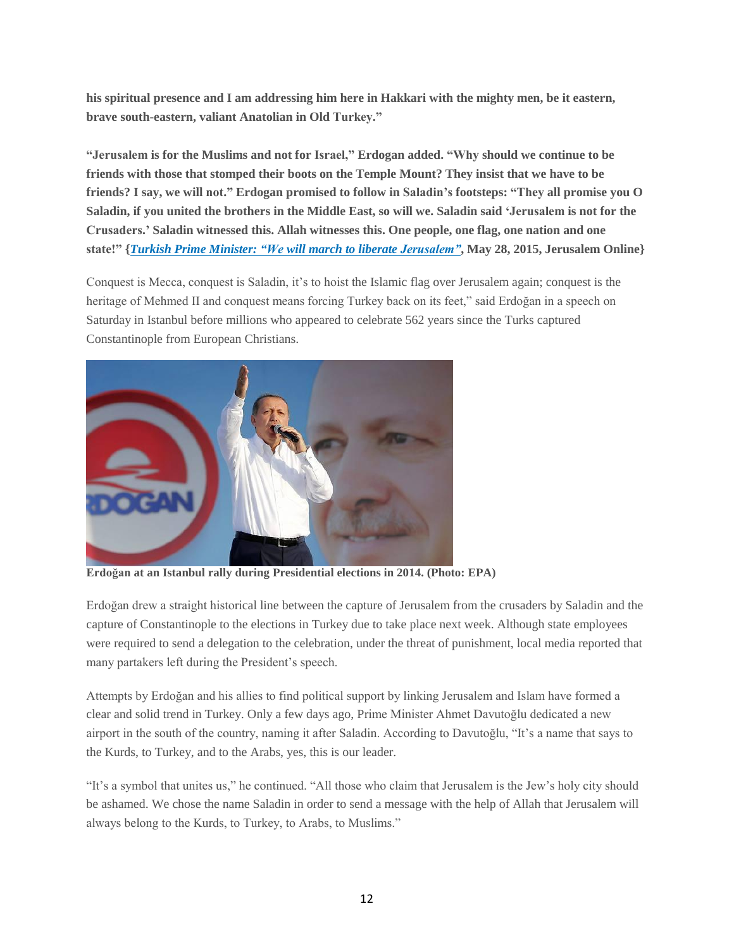**his spiritual presence and I am addressing him here in Hakkari with the mighty men, be it eastern, brave south-eastern, valiant Anatolian in Old Turkey."**

**"Jerusalem is for the Muslims and not for Israel," Erdogan added. "Why should we continue to be friends with those that stomped their boots on the Temple Mount? They insist that we have to be** friends? I say, we will not." Erdogan promised to follow in Saladin's footsteps: "They all promise you O Saladin, if you united the brothers in the Middle East, so will we. Saladin said 'Jerusalem is not for the **Crusaders.' Saladin witnessed this. Allah witnesses this. One people, one flag, one nation and one state!" {***Turkish Prime Minister: "We will march to liberate [Jerusalem"](http://www.jerusalemonline.com/news/middle-east/israel-and-the-middle-east/turkish-prime-minister-we-will-march-to-liberate-jerusalem-13709)***, May 28, 2015, Jerusalem Online}**

Conquest is Mecca, conquest is Saladin, it's to hoist the Islamic flag over Jerusalem again; conquest is the heritage of Mehmed II and conquest means forcing Turkey back on its feet," said Erdoğan in a speech on Saturday in Istanbul before millions who appeared to celebrate 562 years since the Turks captured Constantinople from European Christians.



**Erdoğan at an Istanbul rally during Presidential elections in 2014. (Photo: EPA)**

Erdoğan drew a straight historical line between the capture of Jerusalem from the crusaders by Saladin and the capture of Constantinople to the elections in Turkey due to take place next week. Although state employees were required to send a delegation to the celebration, under the threat of punishment, local media reported that many partakers left during the President's speech.

Attempts by Erdoğan and his allies to find political support by linking Jerusalem and Islam have formed a clear and solid trend in Turkey. Only a few days ago, Prime Minister Ahmet Davutoğlu dedicated a new airport in the south of the country, naming it after Saladin. According to Davutoğlu, "It's a name that says to the Kurds, to Turkey, and to the Arabs, yes, this is our leader.

"It's a symbol that unites us," he continued. "All those who claim that Jerusalem is the Jew's holy city should be ashamed. We chose the name Saladin in order to send a message with the help of Allah that Jerusalem will always belong to the Kurds, to Turkey, to Arabs, to Muslims."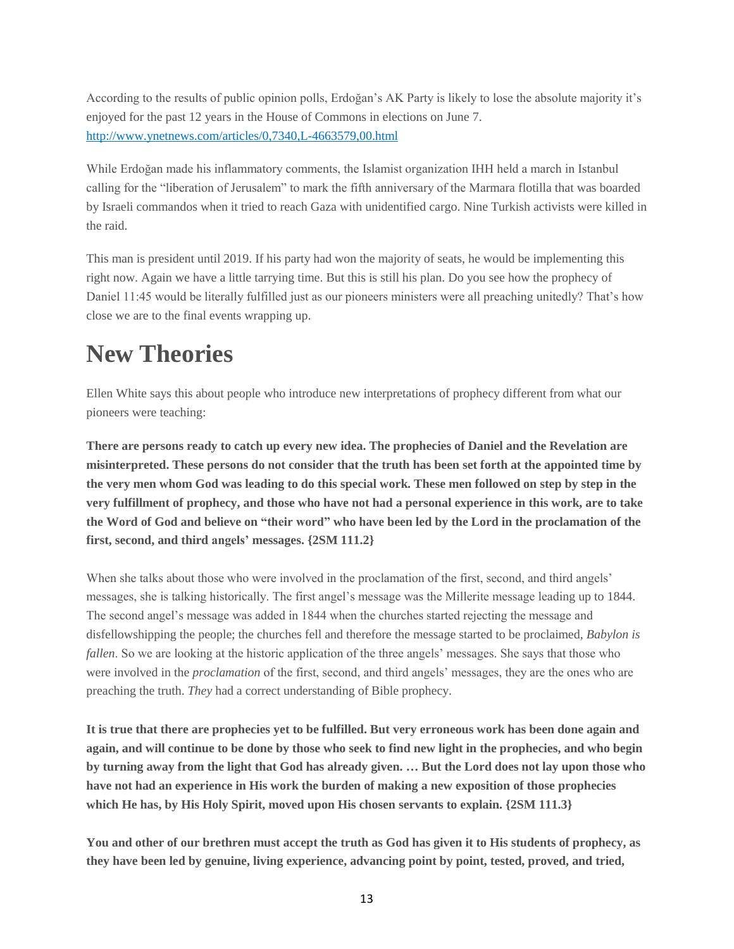According to the results of public opinion polls, Erdoğan's AK Party is likely to lose the absolute majority it's enjoyed for the past 12 years in the House of Commons in elections on June 7. <http://www.ynetnews.com/articles/0,7340,L-4663579,00.html>

While Erdoğan made his inflammatory comments, the Islamist organization IHH held a march in Istanbul calling for the "liberation of Jerusalem" to mark the fifth anniversary of the Marmara flotilla that was boarded by Israeli commandos when it tried to reach Gaza with unidentified cargo. Nine Turkish activists were killed in the raid.

This man is president until 2019. If his party had won the majority of seats, he would be implementing this right now. Again we have a little tarrying time. But this is still his plan. Do you see how the prophecy of Daniel 11:45 would be literally fulfilled just as our pioneers ministers were all preaching unitedly? That's how close we are to the final events wrapping up.

## **New Theories**

Ellen White says this about people who introduce new interpretations of prophecy different from what our pioneers were teaching:

There are persons ready to catch up every new idea. The prophecies of Daniel and the Revelation are misinterpreted. These persons do not consider that the truth has been set forth at the appointed time by the very men whom God was leading to do this special work. These men followed on step by step in the very fulfillment of prophecy, and those who have not had a personal experience in this work, are to take the Word of God and believe on "their word" who have been led by the Lord in the proclamation of the **first, second, and third angels' messages. {2SM 111.2}**

When she talks about those who were involved in the proclamation of the first, second, and third angels' messages, she is talking historically. The first angel's message was the Millerite message leading up to 1844. The second angel's message was added in 1844 when the churches started rejecting the message and disfellowshipping the people; the churches fell and therefore the message started to be proclaimed, *Babylon is fallen*. So we are looking at the historic application of the three angels' messages. She says that those who were involved in the *proclamation* of the first, second, and third angels' messages, they are the ones who are preaching the truth. *They* had a correct understanding of Bible prophecy.

It is true that there are prophecies yet to be fulfilled. But very erroneous work has been done again and again, and will continue to be done by those who seek to find new light in the prophecies, and who begin by turning away from the light that God has already given. ... But the Lord does not lay upon those who **have not had an experience in His work the burden of making a new exposition of those prophecies which He has, by His Holy Spirit, moved upon His chosen servants to explain. {2SM 111.3}**

You and other of our brethren must accept the truth as God has given it to His students of prophecy, as **they have been led by genuine, living experience, advancing point by point, tested, proved, and tried,**